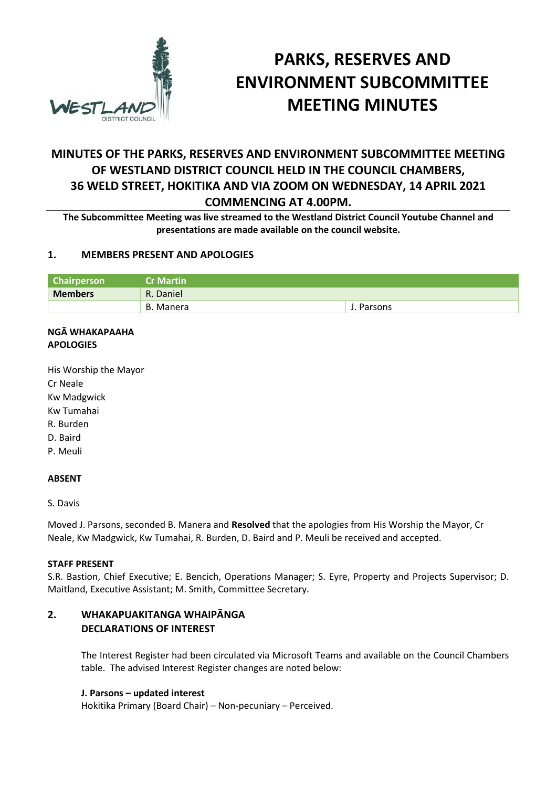

# **PARKS, RESERVES AND ENVIRONMENT SUBCOMMITTEE MEETING MINUTES**

## **MINUTES OF THE PARKS, RESERVES AND ENVIRONMENT SUBCOMMITTEE MEETING OF WESTLAND DISTRICT COUNCIL HELD IN THE COUNCIL CHAMBERS, 36 WELD STREET, HOKITIKA AND VIA ZOOM ON WEDNESDAY, 14 APRIL 2021 COMMENCING AT 4.00PM.**

**The Subcommittee Meeting was live streamed to the Westland District Council Youtube Channel and presentations are made available on the council website.** 

## **1. MEMBERS PRESENT AND APOLOGIES**

| <b>Chairperson</b> | <b>Cr Martin</b> |            |
|--------------------|------------------|------------|
| <b>Members</b>     | R. Daniel        |            |
|                    | B. Manera        | J. Parsons |

#### **NGĀ WHAKAPAAHA APOLOGIES**

His Worship the Mayor Cr Neale Kw Madgwick Kw Tumahai R. Burden D. Baird P. Meuli

## **ABSENT**

S. Davis

Moved J. Parsons, seconded B. Manera and **Resolved** that the apologies from His Worship the Mayor, Cr Neale, Kw Madgwick, Kw Tumahai, R. Burden, D. Baird and P. Meuli be received and accepted.

## **STAFF PRESENT**

S.R. Bastion, Chief Executive; E. Bencich, Operations Manager; S. Eyre, Property and Projects Supervisor; D. Maitland, Executive Assistant; M. Smith, Committee Secretary.

## **2. WHAKAPUAKITANGA WHAIPĀNGA DECLARATIONS OF INTEREST**

The Interest Register had been circulated via Microsoft Teams and available on the Council Chambers table. The advised Interest Register changes are noted below:

## **J. Parsons – updated interest**

Hokitika Primary (Board Chair) – Non-pecuniary – Perceived.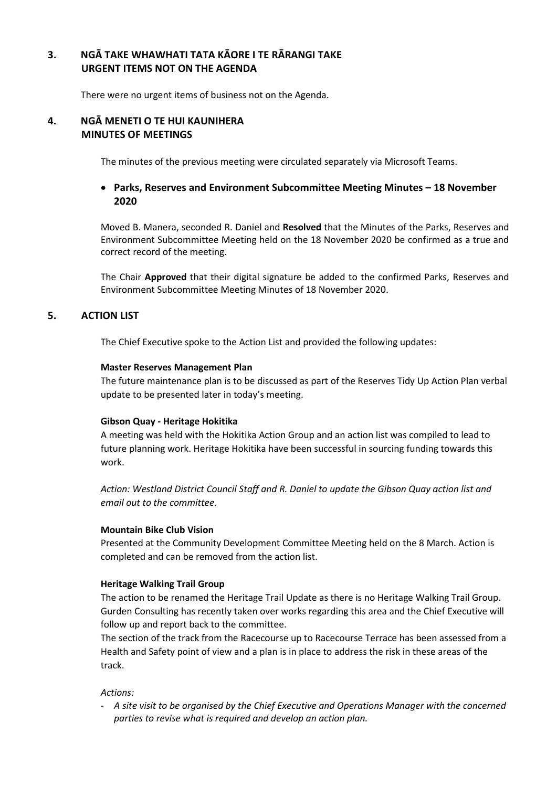## **3. NGĀ TAKE WHAWHATI TATA KĀORE I TE RĀRANGI TAKE URGENT ITEMS NOT ON THE AGENDA**

There were no urgent items of business not on the Agenda.

#### **4. NGĀ MENETI O TE HUI KAUNIHERA MINUTES OF MEETINGS**

The minutes of the previous meeting were circulated separately via Microsoft Teams.

## **Parks, Reserves and Environment Subcommittee Meeting Minutes – 18 November 2020**

Moved B. Manera, seconded R. Daniel and **Resolved** that the Minutes of the Parks, Reserves and Environment Subcommittee Meeting held on the 18 November 2020 be confirmed as a true and correct record of the meeting.

The Chair **Approved** that their digital signature be added to the confirmed Parks, Reserves and Environment Subcommittee Meeting Minutes of 18 November 2020.

## **5. ACTION LIST**

The Chief Executive spoke to the Action List and provided the following updates:

#### **Master Reserves Management Plan**

The future maintenance plan is to be discussed as part of the Reserves Tidy Up Action Plan verbal update to be presented later in today's meeting.

#### **Gibson Quay - Heritage Hokitika**

A meeting was held with the Hokitika Action Group and an action list was compiled to lead to future planning work. Heritage Hokitika have been successful in sourcing funding towards this work.

*Action: Westland District Council Staff and R. Daniel to update the Gibson Quay action list and email out to the committee.* 

#### **Mountain Bike Club Vision**

Presented at the Community Development Committee Meeting held on the 8 March. Action is completed and can be removed from the action list.

#### **Heritage Walking Trail Group**

The action to be renamed the Heritage Trail Update as there is no Heritage Walking Trail Group. Gurden Consulting has recently taken over works regarding this area and the Chief Executive will follow up and report back to the committee.

The section of the track from the Racecourse up to Racecourse Terrace has been assessed from a Health and Safety point of view and a plan is in place to address the risk in these areas of the track.

## *Actions:*

- *A site visit to be organised by the Chief Executive and Operations Manager with the concerned parties to revise what is required and develop an action plan.*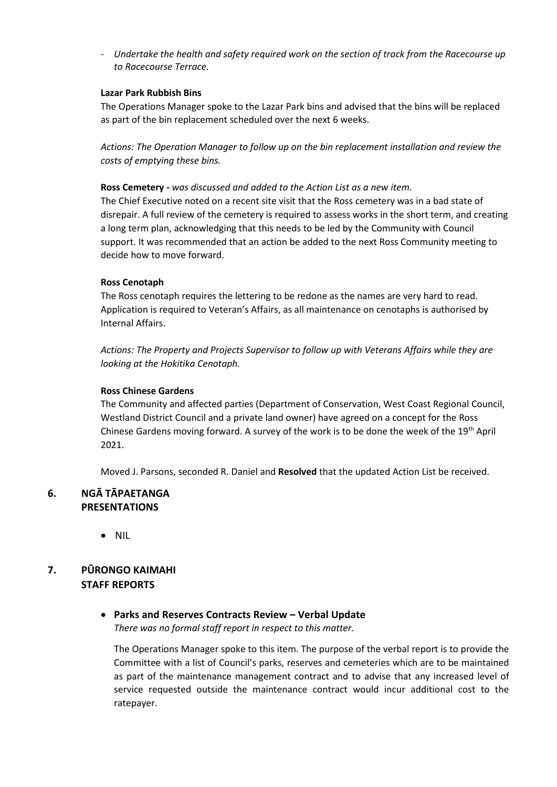- *Undertake the health and safety required work on the section of track from the Racecourse up to Racecourse Terrace.* 

#### **Lazar Park Rubbish Bins**

The Operations Manager spoke to the Lazar Park bins and advised that the bins will be replaced as part of the bin replacement scheduled over the next 6 weeks.

*Actions: The Operation Manager to follow up on the bin replacement installation and review the costs of emptying these bins.* 

#### **Ross Cemetery -** *was discussed and added to the Action List as a new item.*

The Chief Executive noted on a recent site visit that the Ross cemetery was in a bad state of disrepair. A full review of the cemetery is required to assess works in the short term, and creating a long term plan, acknowledging that this needs to be led by the Community with Council support. It was recommended that an action be added to the next Ross Community meeting to decide how to move forward.

#### **Ross Cenotaph**

The Ross cenotaph requires the lettering to be redone as the names are very hard to read. Application is required to Veteran's Affairs, as all maintenance on cenotaphs is authorised by Internal Affairs.

*Actions: The Property and Projects Supervisor to follow up with Veterans Affairs while they are looking at the Hokitika Cenotaph.* 

#### **Ross Chinese Gardens**

The Community and affected parties (Department of Conservation, West Coast Regional Council, Westland District Council and a private land owner) have agreed on a concept for the Ross Chinese Gardens moving forward. A survey of the work is to be done the week of the 19<sup>th</sup> April 2021.

Moved J. Parsons, seconded R. Daniel and **Resolved** that the updated Action List be received.

## **6. NGĀ TĀPAETANGA PRESENTATIONS**

NIL

## **7. PŪRONGO KAIMAHI STAFF REPORTS**

 **Parks and Reserves Contracts Review – Verbal Update**  *There was no formal staff report in respect to this matter.* 

The Operations Manager spoke to this item. The purpose of the verbal report is to provide the Committee with a list of Council's parks, reserves and cemeteries which are to be maintained as part of the maintenance management contract and to advise that any increased level of service requested outside the maintenance contract would incur additional cost to the ratepayer.